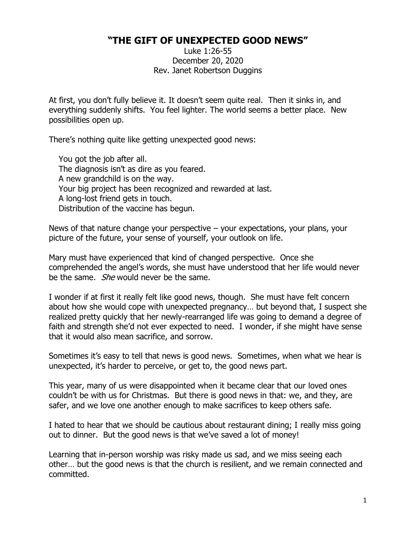## **"THE GIFT OF UNEXPECTED GOOD NEWS"**

Luke 1:26-55 December 20, 2020 Rev. Janet Robertson Duggins

At first, you don't fully believe it. It doesn't seem quite real. Then it sinks in, and everything suddenly shifts. You feel lighter. The world seems a better place. New possibilities open up.

There's nothing quite like getting unexpected good news:

You got the job after all. The diagnosis isn't as dire as you feared. A new grandchild is on the way. Your big project has been recognized and rewarded at last. A long-lost friend gets in touch. Distribution of the vaccine has begun.

News of that nature change your perspective  $-$  your expectations, your plans, your picture of the future, your sense of yourself, your outlook on life.

Mary must have experienced that kind of changed perspective. Once she comprehended the angel's words, she must have understood that her life would never be the same. *She* would never be the same.

I wonder if at first it really felt like good news, though. She must have felt concern about how she would cope with unexpected pregnancy… but beyond that, I suspect she realized pretty quickly that her newly-rearranged life was going to demand a degree of faith and strength she'd not ever expected to need. I wonder, if she might have sense that it would also mean sacrifice, and sorrow.

Sometimes it's easy to tell that news is good news. Sometimes, when what we hear is unexpected, it's harder to perceive, or get to, the good news part.

This year, many of us were disappointed when it became clear that our loved ones couldn't be with us for Christmas. But there is good news in that: we, and they, are safer, and we love one another enough to make sacrifices to keep others safe.

I hated to hear that we should be cautious about restaurant dining; I really miss going out to dinner. But the good news is that we've saved a lot of money!

Learning that in-person worship was risky made us sad, and we miss seeing each other… but the good news is that the church is resilient, and we remain connected and committed.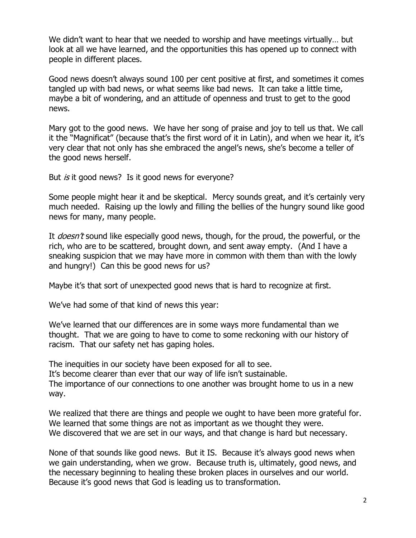We didn't want to hear that we needed to worship and have meetings virtually… but look at all we have learned, and the opportunities this has opened up to connect with people in different places.

Good news doesn't always sound 100 per cent positive at first, and sometimes it comes tangled up with bad news, or what seems like bad news. It can take a little time, maybe a bit of wondering, and an attitude of openness and trust to get to the good news.

Mary got to the good news. We have her song of praise and joy to tell us that. We call it the "Magnificat" (because that's the first word of it in Latin), and when we hear it, it's very clear that not only has she embraced the angel's news, she's become a teller of the good news herself.

But *is* it good news? Is it good news for everyone?

Some people might hear it and be skeptical. Mercy sounds great, and it's certainly very much needed. Raising up the lowly and filling the bellies of the hungry sound like good news for many, many people.

It *doesn't* sound like especially good news, though, for the proud, the powerful, or the rich, who are to be scattered, brought down, and sent away empty. (And I have a sneaking suspicion that we may have more in common with them than with the lowly and hungry!) Can this be good news for us?

Maybe it's that sort of unexpected good news that is hard to recognize at first.

We've had some of that kind of news this year:

We've learned that our differences are in some ways more fundamental than we thought. That we are going to have to come to some reckoning with our history of racism. That our safety net has gaping holes.

The inequities in our society have been exposed for all to see. It's become clearer than ever that our way of life isn't sustainable. The importance of our connections to one another was brought home to us in a new way.

We realized that there are things and people we ought to have been more grateful for. We learned that some things are not as important as we thought they were. We discovered that we are set in our ways, and that change is hard but necessary.

None of that sounds like good news. But it IS. Because it's always good news when we gain understanding, when we grow. Because truth is, ultimately, good news, and the necessary beginning to healing these broken places in ourselves and our world. Because it's good news that God is leading us to transformation.